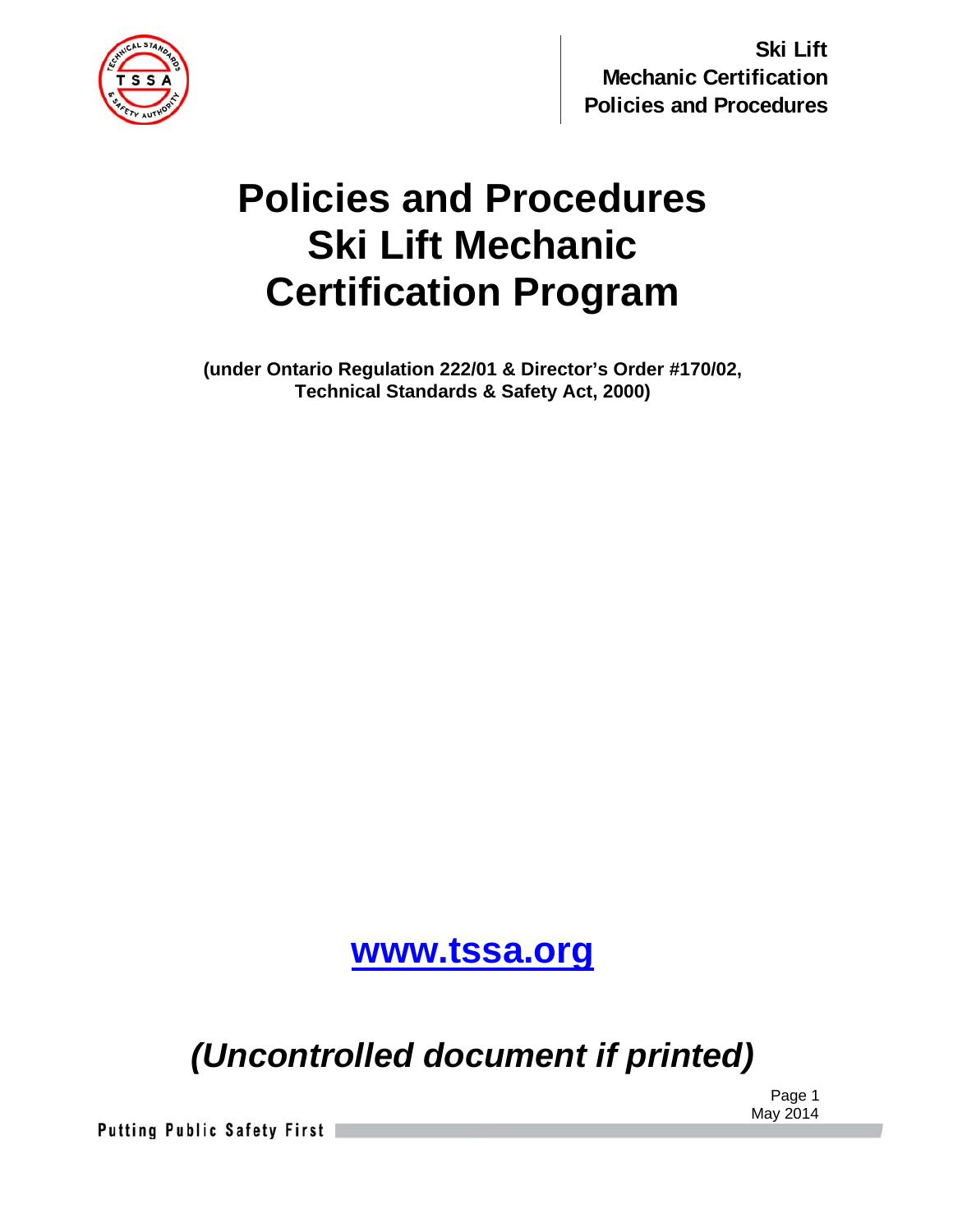

**Ski Lift Mechanic Certification Policies and Procedures**

# **Policies and Procedures Ski Lift Mechanic Certification Program**

**(under Ontario Regulation 222/01 & Director's Order #170/02, Technical Standards & Safety Act, 2000)** 

**www.tssa.org**

*(Uncontrolled document if printed)* 

Page 1 May 2014

**Putting Public Safety First**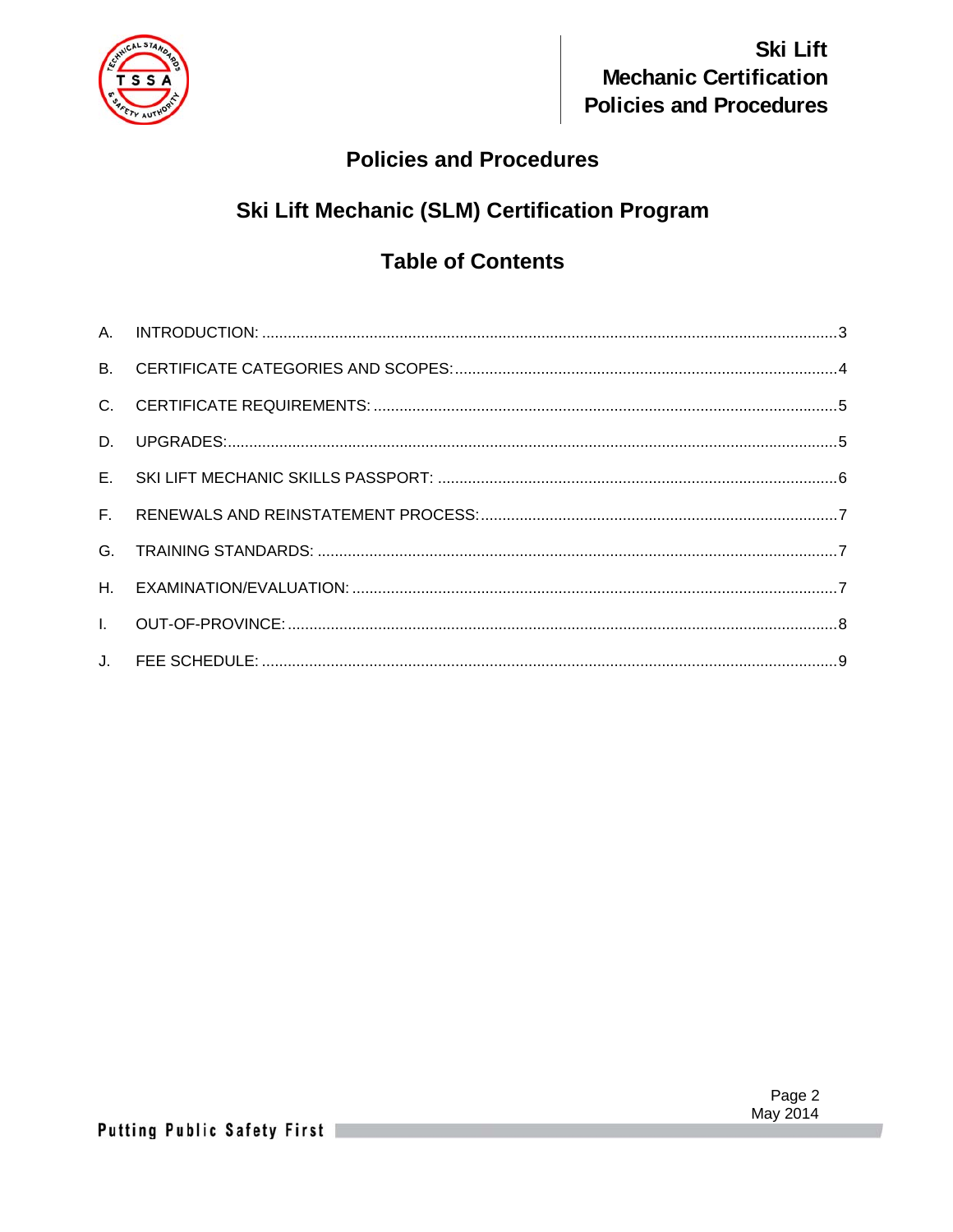

### **Policies and Procedures**

## **Ski Lift Mechanic (SLM) Certification Program**

### **Table of Contents**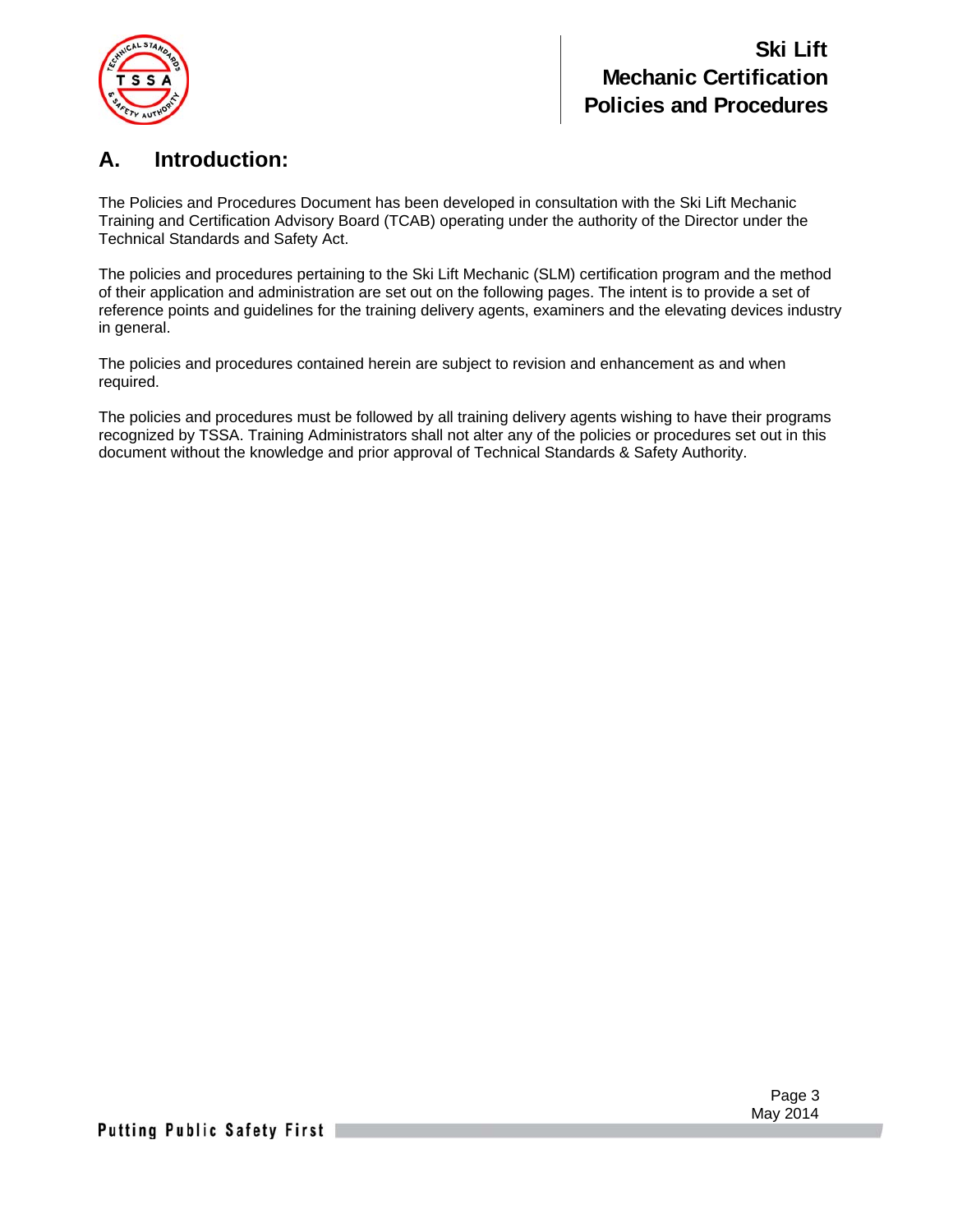

**Ski Lift Mechanic Certification Policies and Procedures**

### **A. Introduction:**

The Policies and Procedures Document has been developed in consultation with the Ski Lift Mechanic Training and Certification Advisory Board (TCAB) operating under the authority of the Director under the Technical Standards and Safety Act.

The policies and procedures pertaining to the Ski Lift Mechanic (SLM) certification program and the method of their application and administration are set out on the following pages. The intent is to provide a set of reference points and guidelines for the training delivery agents, examiners and the elevating devices industry in general.

The policies and procedures contained herein are subject to revision and enhancement as and when required.

The policies and procedures must be followed by all training delivery agents wishing to have their programs recognized by TSSA. Training Administrators shall not alter any of the policies or procedures set out in this document without the knowledge and prior approval of Technical Standards & Safety Authority.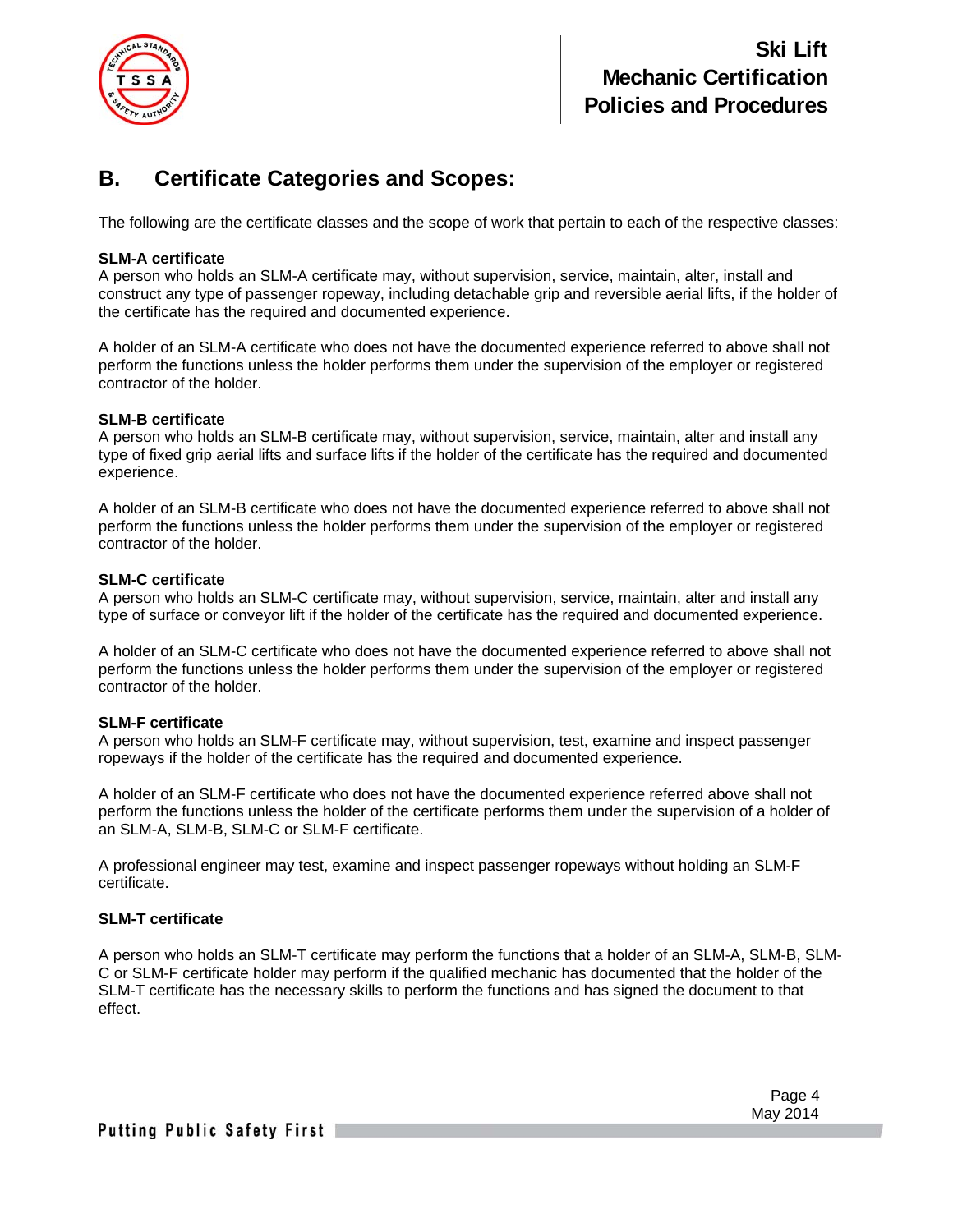

### **B. Certificate Categories and Scopes:**

The following are the certificate classes and the scope of work that pertain to each of the respective classes:

#### **SLM-A certificate**

A person who holds an SLM-A certificate may, without supervision, service, maintain, alter, install and construct any type of passenger ropeway, including detachable grip and reversible aerial lifts, if the holder of the certificate has the required and documented experience.

A holder of an SLM-A certificate who does not have the documented experience referred to above shall not perform the functions unless the holder performs them under the supervision of the employer or registered contractor of the holder.

#### **SLM-B certificate**

A person who holds an SLM-B certificate may, without supervision, service, maintain, alter and install any type of fixed grip aerial lifts and surface lifts if the holder of the certificate has the required and documented experience.

A holder of an SLM-B certificate who does not have the documented experience referred to above shall not perform the functions unless the holder performs them under the supervision of the employer or registered contractor of the holder.

#### **SLM-C certificate**

A person who holds an SLM-C certificate may, without supervision, service, maintain, alter and install any type of surface or conveyor lift if the holder of the certificate has the required and documented experience.

A holder of an SLM-C certificate who does not have the documented experience referred to above shall not perform the functions unless the holder performs them under the supervision of the employer or registered contractor of the holder.

#### **SLM-F certificate**

A person who holds an SLM-F certificate may, without supervision, test, examine and inspect passenger ropeways if the holder of the certificate has the required and documented experience.

A holder of an SLM-F certificate who does not have the documented experience referred above shall not perform the functions unless the holder of the certificate performs them under the supervision of a holder of an SLM-A, SLM-B, SLM-C or SLM-F certificate.

A professional engineer may test, examine and inspect passenger ropeways without holding an SLM-F certificate.

#### **SLM-T certificate**

A person who holds an SLM-T certificate may perform the functions that a holder of an SLM-A, SLM-B, SLM-C or SLM-F certificate holder may perform if the qualified mechanic has documented that the holder of the SLM-T certificate has the necessary skills to perform the functions and has signed the document to that effect.

Page 4 May 2014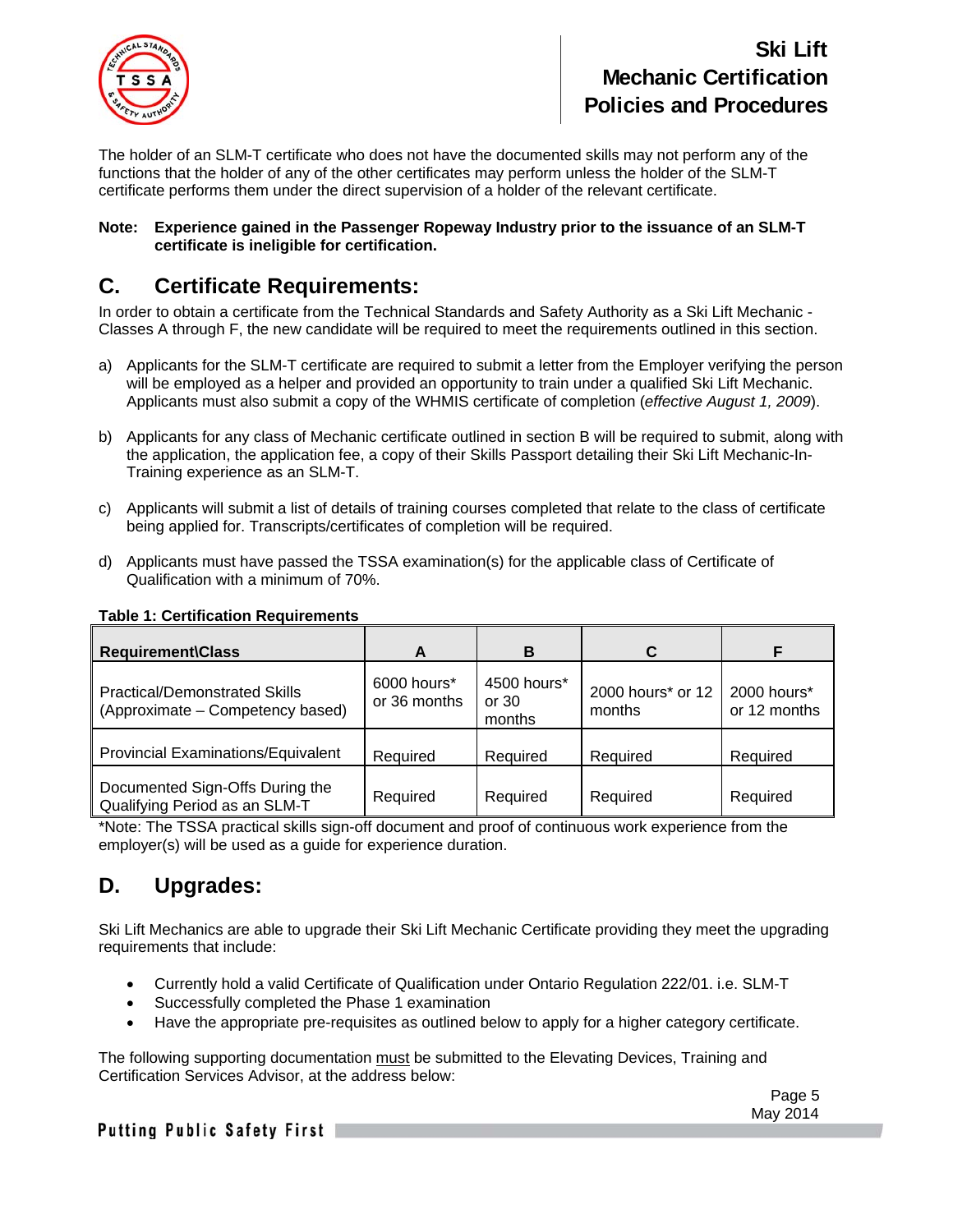

The holder of an SLM-T certificate who does not have the documented skills may not perform any of the functions that the holder of any of the other certificates may perform unless the holder of the SLM-T certificate performs them under the direct supervision of a holder of the relevant certificate.

**Note: Experience gained in the Passenger Ropeway Industry prior to the issuance of an SLM-T certificate is ineligible for certification.** 

### **C. Certificate Requirements:**

In order to obtain a certificate from the Technical Standards and Safety Authority as a Ski Lift Mechanic - Classes A through F, the new candidate will be required to meet the requirements outlined in this section.

- a) Applicants for the SLM-T certificate are required to submit a letter from the Employer verifying the person will be employed as a helper and provided an opportunity to train under a qualified Ski Lift Mechanic. Applicants must also submit a copy of the WHMIS certificate of completion (*effective August 1, 2009*).
- b) Applicants for any class of Mechanic certificate outlined in section B will be required to submit, along with the application, the application fee, a copy of their Skills Passport detailing their Ski Lift Mechanic-In-Training experience as an SLM-T.
- c) Applicants will submit a list of details of training courses completed that relate to the class of certificate being applied for. Transcripts/certificates of completion will be required.
- d) Applicants must have passed the TSSA examination(s) for the applicable class of Certificate of Qualification with a minimum of 70%.

| <b>Requirement\Class</b>                                                 | A                           | B                              | C                           |                             |
|--------------------------------------------------------------------------|-----------------------------|--------------------------------|-----------------------------|-----------------------------|
| <b>Practical/Demonstrated Skills</b><br>(Approximate – Competency based) | 6000 hours*<br>or 36 months | 4500 hours*<br>or 30<br>months | 2000 hours* or 12<br>months | 2000 hours*<br>or 12 months |
| <b>Provincial Examinations/Equivalent</b>                                | Required                    | Required                       | Required                    | Required                    |
| Documented Sign-Offs During the<br>Qualifying Period as an SLM-T         | Required                    | Required                       | Required                    | Required                    |

#### **Table 1: Certification Requirements**

\*Note: The TSSA practical skills sign-off document and proof of continuous work experience from the employer(s) will be used as a guide for experience duration.

### **D. Upgrades:**

Ski Lift Mechanics are able to upgrade their Ski Lift Mechanic Certificate providing they meet the upgrading requirements that include:

- Currently hold a valid Certificate of Qualification under Ontario Regulation 222/01. i.e. SLM-T
- Successfully completed the Phase 1 examination
- Have the appropriate pre-requisites as outlined below to apply for a higher category certificate.

The following supporting documentation must be submitted to the Elevating Devices, Training and Certification Services Advisor, at the address below:

> Page 5 May 2014

Putting Public Safety First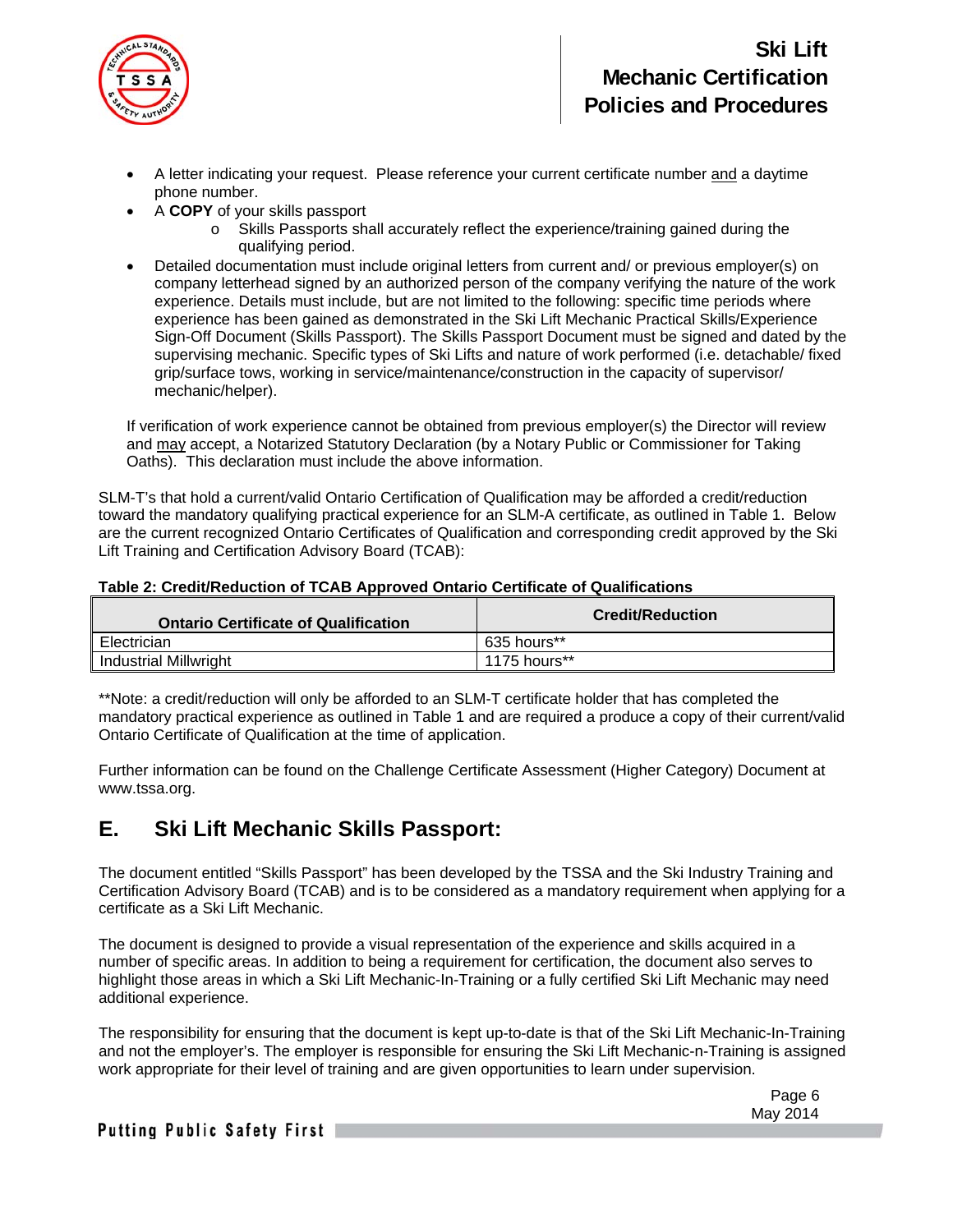

- A letter indicating your request. Please reference your current certificate number and a daytime phone number.
- A **COPY** of your skills passport
	- o Skills Passports shall accurately reflect the experience/training gained during the qualifying period.
- Detailed documentation must include original letters from current and/ or previous employer(s) on company letterhead signed by an authorized person of the company verifying the nature of the work experience. Details must include, but are not limited to the following: specific time periods where experience has been gained as demonstrated in the Ski Lift Mechanic Practical Skills/Experience Sign-Off Document (Skills Passport). The Skills Passport Document must be signed and dated by the supervising mechanic. Specific types of Ski Lifts and nature of work performed (i.e. detachable/ fixed grip/surface tows, working in service/maintenance/construction in the capacity of supervisor/ mechanic/helper).

If verification of work experience cannot be obtained from previous employer(s) the Director will review and may accept, a Notarized Statutory Declaration (by a Notary Public or Commissioner for Taking Oaths). This declaration must include the above information.

SLM-T's that hold a current/valid Ontario Certification of Qualification may be afforded a credit/reduction toward the mandatory qualifying practical experience for an SLM-A certificate, as outlined in Table 1. Below are the current recognized Ontario Certificates of Qualification and corresponding credit approved by the Ski Lift Training and Certification Advisory Board (TCAB):

#### **Table 2: Credit/Reduction of TCAB Approved Ontario Certificate of Qualifications**

| <b>Ontario Certificate of Qualification</b> | <b>Credit/Reduction</b> |
|---------------------------------------------|-------------------------|
| Electrician                                 | 635 hours**             |
| <b>Industrial Millwright</b>                | 1175 hours**            |

\*\*Note: a credit/reduction will only be afforded to an SLM-T certificate holder that has completed the mandatory practical experience as outlined in Table 1 and are required a produce a copy of their current/valid Ontario Certificate of Qualification at the time of application.

Further information can be found on the Challenge Certificate Assessment (Higher Category) Document at www.tssa.org.

### **E. Ski Lift Mechanic Skills Passport:**

The document entitled "Skills Passport" has been developed by the TSSA and the Ski Industry Training and Certification Advisory Board (TCAB) and is to be considered as a mandatory requirement when applying for a certificate as a Ski Lift Mechanic.

The document is designed to provide a visual representation of the experience and skills acquired in a number of specific areas. In addition to being a requirement for certification, the document also serves to highlight those areas in which a Ski Lift Mechanic-In-Training or a fully certified Ski Lift Mechanic may need additional experience.

The responsibility for ensuring that the document is kept up-to-date is that of the Ski Lift Mechanic-In-Training and not the employer's. The employer is responsible for ensuring the Ski Lift Mechanic-n-Training is assigned work appropriate for their level of training and are given opportunities to learn under supervision.

> Page 6 May 2014

Putting Public Safety First |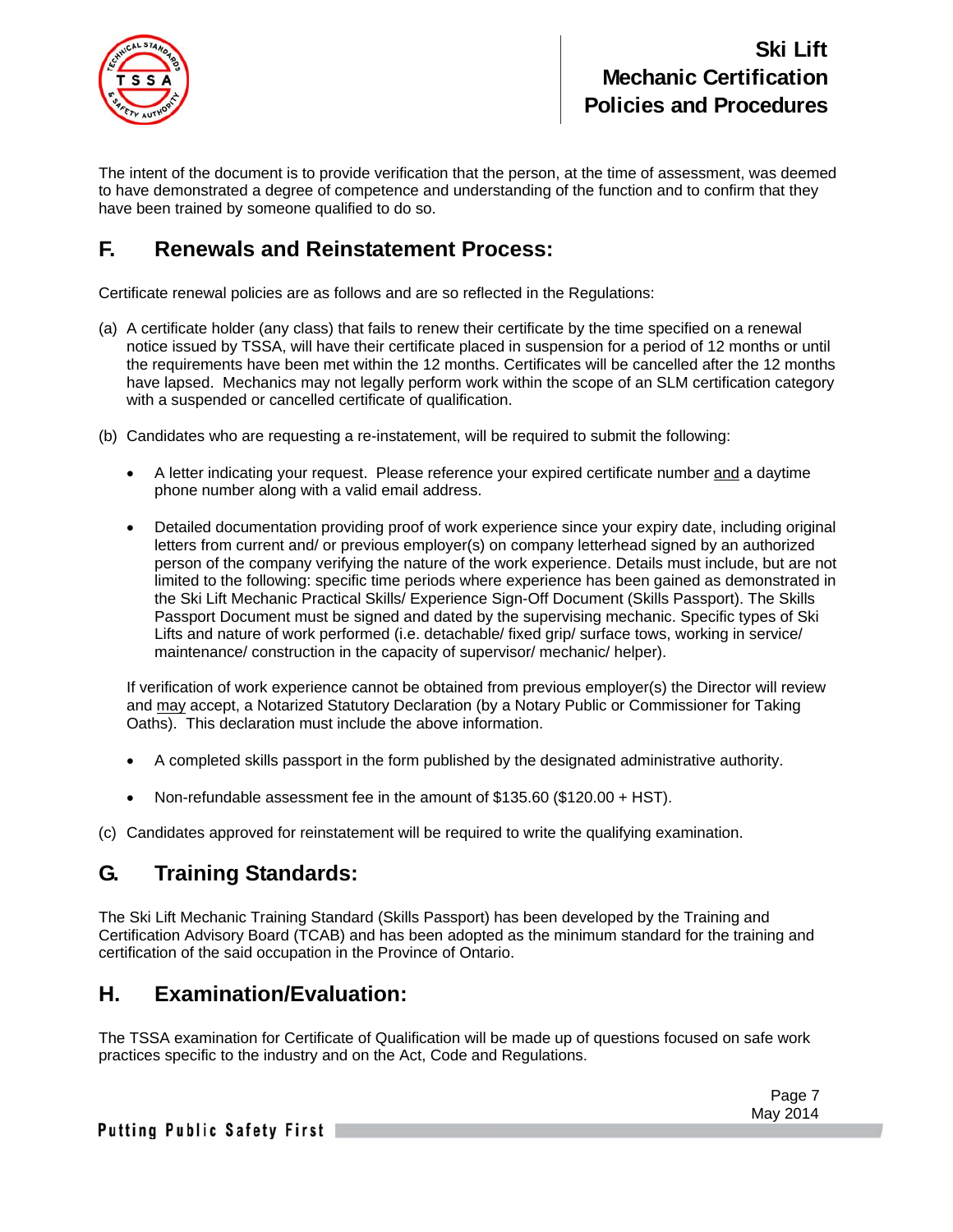

The intent of the document is to provide verification that the person, at the time of assessment, was deemed to have demonstrated a degree of competence and understanding of the function and to confirm that they have been trained by someone qualified to do so.

### **F. Renewals and Reinstatement Process:**

Certificate renewal policies are as follows and are so reflected in the Regulations:

- (a) A certificate holder (any class) that fails to renew their certificate by the time specified on a renewal notice issued by TSSA, will have their certificate placed in suspension for a period of 12 months or until the requirements have been met within the 12 months. Certificates will be cancelled after the 12 months have lapsed. Mechanics may not legally perform work within the scope of an SLM certification category with a suspended or cancelled certificate of qualification.
- (b) Candidates who are requesting a re-instatement, will be required to submit the following:
	- A letter indicating your request. Please reference your expired certificate number and a daytime phone number along with a valid email address.
	- Detailed documentation providing proof of work experience since your expiry date, including original letters from current and/ or previous employer(s) on company letterhead signed by an authorized person of the company verifying the nature of the work experience. Details must include, but are not limited to the following: specific time periods where experience has been gained as demonstrated in the Ski Lift Mechanic Practical Skills/ Experience Sign-Off Document (Skills Passport). The Skills Passport Document must be signed and dated by the supervising mechanic. Specific types of Ski Lifts and nature of work performed (i.e. detachable/ fixed grip/ surface tows, working in service/ maintenance/ construction in the capacity of supervisor/ mechanic/ helper).

If verification of work experience cannot be obtained from previous employer(s) the Director will review and may accept, a Notarized Statutory Declaration (by a Notary Public or Commissioner for Taking Oaths). This declaration must include the above information.

- A completed skills passport in the form published by the designated administrative authority.
- Non-refundable assessment fee in the amount of \$135.60 (\$120.00 + HST).
- (c) Candidates approved for reinstatement will be required to write the qualifying examination.

### **G. Training Standards:**

The Ski Lift Mechanic Training Standard (Skills Passport) has been developed by the Training and Certification Advisory Board (TCAB) and has been adopted as the minimum standard for the training and certification of the said occupation in the Province of Ontario.

### **H. Examination/Evaluation:**

The TSSA examination for Certificate of Qualification will be made up of questions focused on safe work practices specific to the industry and on the Act, Code and Regulations.

> Page 7 May 2014

**Putting Public Safety First** ∥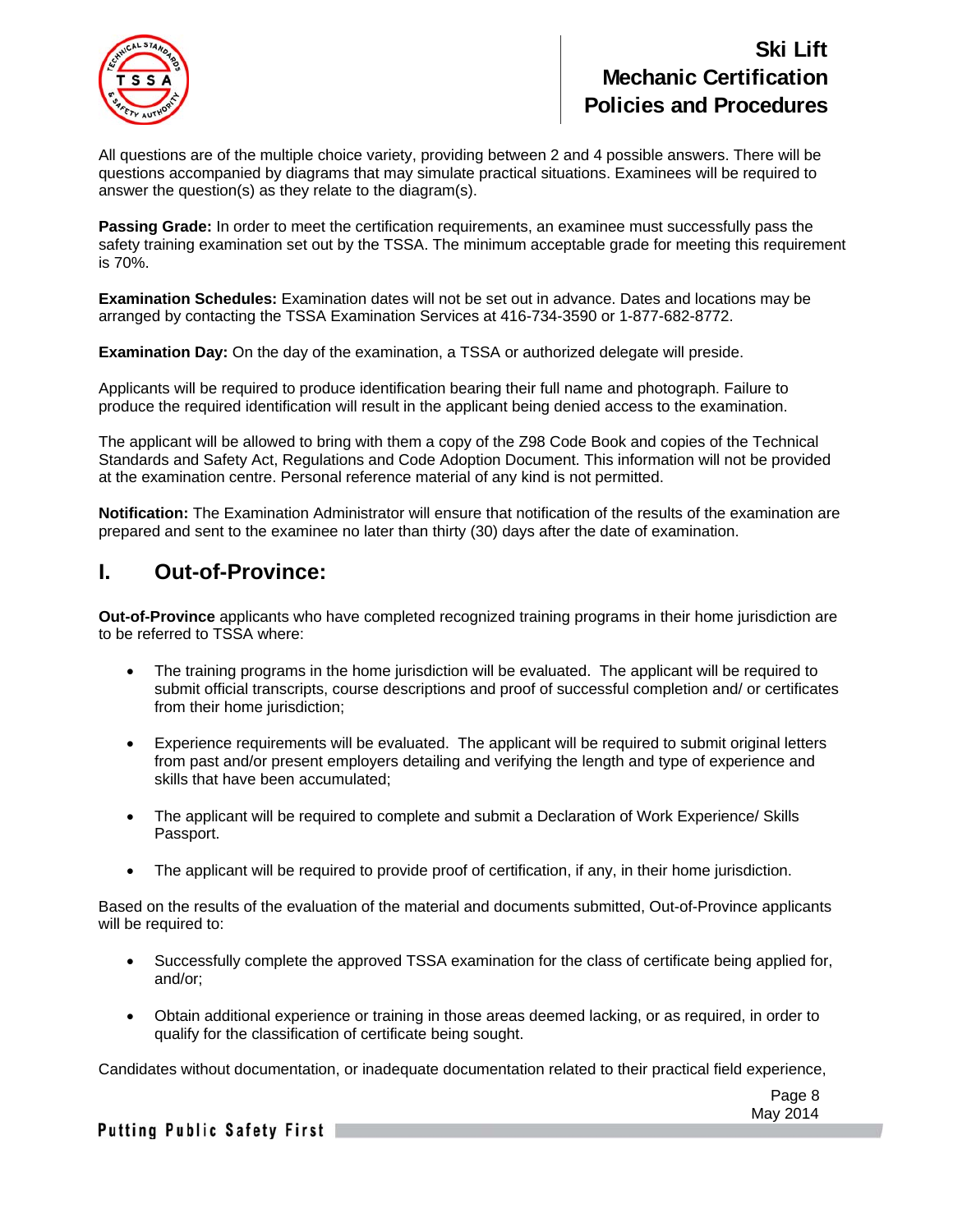

All questions are of the multiple choice variety, providing between 2 and 4 possible answers. There will be questions accompanied by diagrams that may simulate practical situations. Examinees will be required to answer the question(s) as they relate to the diagram(s).

**Passing Grade:** In order to meet the certification requirements, an examinee must successfully pass the safety training examination set out by the TSSA. The minimum acceptable grade for meeting this requirement is 70%.

**Examination Schedules:** Examination dates will not be set out in advance. Dates and locations may be arranged by contacting the TSSA Examination Services at 416-734-3590 or 1-877-682-8772.

**Examination Day:** On the day of the examination, a TSSA or authorized delegate will preside.

Applicants will be required to produce identification bearing their full name and photograph. Failure to produce the required identification will result in the applicant being denied access to the examination.

The applicant will be allowed to bring with them a copy of the Z98 Code Book and copies of the Technical Standards and Safety Act, Regulations and Code Adoption Document. This information will not be provided at the examination centre. Personal reference material of any kind is not permitted.

**Notification:** The Examination Administrator will ensure that notification of the results of the examination are prepared and sent to the examinee no later than thirty (30) days after the date of examination.

#### **I. Out-of-Province:**

**Out-of-Province** applicants who have completed recognized training programs in their home jurisdiction are to be referred to TSSA where:

- The training programs in the home jurisdiction will be evaluated. The applicant will be required to submit official transcripts, course descriptions and proof of successful completion and/ or certificates from their home jurisdiction;
- Experience requirements will be evaluated. The applicant will be required to submit original letters from past and/or present employers detailing and verifying the length and type of experience and skills that have been accumulated;
- The applicant will be required to complete and submit a Declaration of Work Experience/ Skills Passport.
- The applicant will be required to provide proof of certification, if any, in their home jurisdiction.

Based on the results of the evaluation of the material and documents submitted, Out-of-Province applicants will be required to:

- Successfully complete the approved TSSA examination for the class of certificate being applied for, and/or;
- Obtain additional experience or training in those areas deemed lacking, or as required, in order to qualify for the classification of certificate being sought.

Candidates without documentation, or inadequate documentation related to their practical field experience,

Page 8 May 2014

Putting Public Safety First |